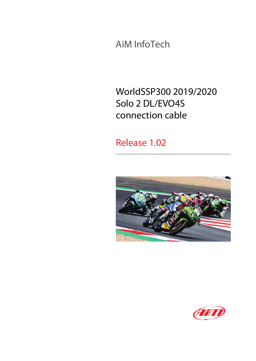AiM InfoTech

# WorldSSP300 2019/2020 Solo 2 DL/EVO4S connection cable

## Release 1.02



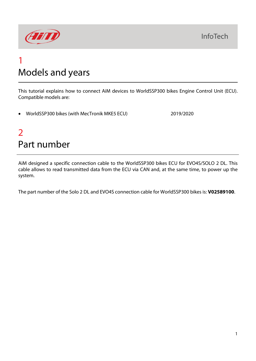

# 1 Models and years

This tutorial explains how to connect AiM devices to WorldSSP300 bikes Engine Control Unit (ECU). Compatible models are:

• WorldSSP300 bikes (with MecTronik MKE5 ECU) 2019/2020

# $\overline{\phantom{0}}$ Part number

AiM designed a specific connection cable to the WorldSSP300 bikes ECU for EVO4S/SOLO 2 DL. This cable allows to read transmitted data from the ECU via CAN and, at the same time, to power up the system.

The part number of the Solo 2 DL and EVO4S connection cable for WorldSSP300 bikes is: **V02589100**.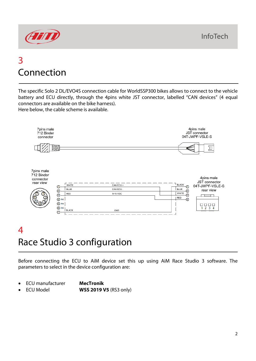

## 3 Connection

The specific Solo 2 DL/EVO4S connection cable for WorldSSP300 bikes allows to connect to the vehicle battery and ECU directly, through the 4pins white JST connector, labelled "CAN devices" (4 equal connectors are available on the bike harness). Here below, the cable scheme is available.



# 4 Race Studio 3 configuration

Before connecting the ECU to AiM device set this up using AiM Race Studio 3 software. The parameters to select in the device configuration are:

- ECU manufacturer **MecTronik**
	-
	- ECU Model **WSS 2019 V5** (RS3 only)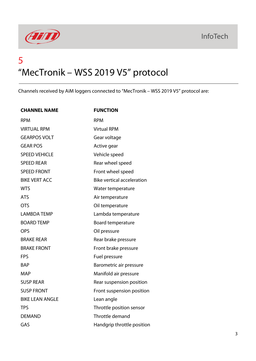



# 5 "MecTronik – WSS 2019 V5" protocol

Channels received by AiM loggers connected to "MecTronik – WSS 2019 V5" protocol are:

| <b>CHANNEL NAME</b>    | <b>FUNCTION</b>                   |
|------------------------|-----------------------------------|
| <b>RPM</b>             | <b>RPM</b>                        |
| <b>VIRTUAL RPM</b>     | <b>Virtual RPM</b>                |
| <b>GEARPOS VOLT</b>    | Gear voltage                      |
| <b>GEAR POS</b>        | Active gear                       |
| <b>SPEED VEHICLE</b>   | Vehicle speed                     |
| <b>SPEED REAR</b>      | Rear wheel speed                  |
| <b>SPEED FRONT</b>     | Front wheel speed                 |
| <b>BIKE VERT ACC</b>   | <b>Bike vertical acceleration</b> |
| <b>WTS</b>             | Water temperature                 |
| <b>ATS</b>             | Air temperature                   |
| <b>OTS</b>             | Oil temperature                   |
| <b>LAMBDA TEMP</b>     | Lambda temperature                |
| <b>BOARD TEMP</b>      | Board temperature                 |
| <b>OPS</b>             | Oil pressure                      |
| <b>BRAKE REAR</b>      | Rear brake pressure               |
| <b>BRAKE FRONT</b>     | Front brake pressure              |
| <b>FPS</b>             | Fuel pressure                     |
| <b>BAP</b>             | Barometric air pressure           |
| <b>MAP</b>             | Manifold air pressure             |
| <b>SUSP REAR</b>       | Rear suspension position          |
| <b>SUSP FRONT</b>      | Front suspension position         |
| <b>BIKE LEAN ANGLE</b> | Lean angle                        |
| <b>TPS</b>             | Throttle position sensor          |
| <b>DEMAND</b>          | Throttle demand                   |
| GAS                    | Handgrip throttle position        |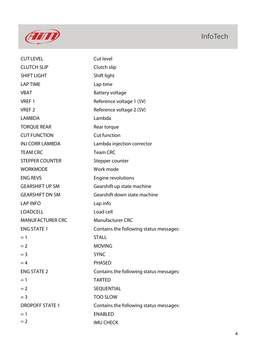

| <b>CUT LEVEL</b>        | Cut level                               |
|-------------------------|-----------------------------------------|
| <b>CLUTCH SLIP</b>      | Clutch slip                             |
| <b>SHIFT LIGHT</b>      | Shift light                             |
| <b>LAP TIME</b>         | Lap time                                |
| <b>VBAT</b>             | <b>Battery voltage</b>                  |
| VREF 1                  | Reference voltage 1 (5V)                |
| VREF <sub>2</sub>       | Reference voltage 2 (5V)                |
| <b>LAMBDA</b>           | Lambda                                  |
| <b>TORQUE REAR</b>      | Rear torque                             |
| <b>CUT FUNCTION</b>     | <b>Cut function</b>                     |
| <b>INJ CORR LAMBDA</b>  | Lambda injection corrector              |
| <b>TEAM CRC</b>         | <b>Team CRC</b>                         |
| <b>STEPPER COUNTER</b>  | Stepper counter                         |
| <b>WORKMODE</b>         | Work mode                               |
| <b>ENG REVS</b>         | Engine revolutions                      |
| <b>GEARSHIFT UP SM</b>  | Gearshift up state machine              |
| <b>GEARSHIFT DN SM</b>  | Gearshift down state machine            |
| <b>LAP INFO</b>         | Lap info                                |
| <b>LOADCELL</b>         | Load cell                               |
| <b>MANUFACTURER CRC</b> | <b>Manufacturer CRC</b>                 |
| <b>ENG STATE 1</b>      | Contains the following status messages: |
| $=1$                    | <b>STALL</b>                            |
| $= 2$                   | <b>MOVING</b>                           |
| $=$ 3                   | <b>SYNC</b>                             |
| $=4$                    | <b>PHASED</b>                           |
| <b>ENG STATE 2</b>      | Contains the following status messages: |
| $=1$                    | <b>TARTED</b>                           |
| $= 2$                   | SEQUENTIAL                              |
| $=$ 3                   | <b>TOO SLOW</b>                         |
| <b>DROPOFF STATE 1</b>  | Contains the following status messages: |
| $=1$                    | <b>ENABLED</b>                          |
| $= 2$                   | <b>IMU CHECK</b>                        |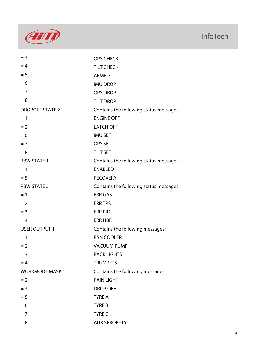

| $=$ 3                  | <b>OPS CHECK</b>                        |
|------------------------|-----------------------------------------|
| $=4$                   | <b>TILT CHECK</b>                       |
| $= 5$                  | <b>ARMED</b>                            |
| $= 6$                  | <b>IMU DROP</b>                         |
| $= 7$                  | <b>OPS DROP</b>                         |
| $= 8$                  | <b>TILT DROP</b>                        |
| <b>DROPOFF STATE 2</b> | Contains the following status messages: |
| $=1$                   | <b>ENGINE OFF</b>                       |
| $= 2$                  | <b>LATCH OFF</b>                        |
| $= 6$                  | <b>IMU SET</b>                          |
| $= 7$                  | <b>OPS SET</b>                          |
| $= 8$                  | <b>TILT SET</b>                         |
| <b>RBW STATE 1</b>     | Contains the following status messages: |
| $=1$                   | <b>ENABLED</b>                          |
| $= 5$                  | <b>RECOVERY</b>                         |
| <b>RBW STATE 2</b>     | Contains the following status messages: |
| $=1$                   | <b>ERR GAS</b>                          |
| $= 2$                  | <b>ERR TPS</b>                          |
| $=$ 3                  | <b>ERR PID</b>                          |
| $=4$                   | <b>ERR HBR</b>                          |
| <b>USER OUTPUT 1</b>   | Contains the following messages:        |
| $=1$                   | <b>FAN COOLER</b>                       |
| $= 2$                  | <b>VACUUM PUMP</b>                      |
| $=$ 3                  | <b>BACK LIGHTS</b>                      |
| $=4$                   | <b>TRUMPETS</b>                         |
| <b>WORKMODE MASK1</b>  | Contains the following messages:        |
| $= 2$                  | <b>RAIN LIGHT</b>                       |
| $=$ 3                  | <b>DROP OFF</b>                         |
| $= 5$                  | <b>TYRE A</b>                           |
| $= 6$                  | <b>TYRE B</b>                           |
| $=7$                   | <b>TYRE C</b>                           |
| $= 8$                  | <b>AUX SPROKETS</b>                     |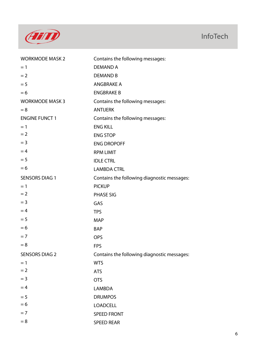

| <b>WORKMODE MASK 2</b> | Contains the following messages:            |
|------------------------|---------------------------------------------|
| $= 1$                  | <b>DEMAND A</b>                             |
| $= 2$                  | <b>DEMAND B</b>                             |
| $= 5$                  | <b>ANGBRAKE A</b>                           |
| $= 6$                  | <b>ENGBRAKE B</b>                           |
| <b>WORKMODE MASK 3</b> | Contains the following messages:            |
| $= 8$                  | <b>ANTIJERK</b>                             |
| <b>ENGINE FUNCT 1</b>  | Contains the following messages:            |
| $=1$                   | <b>ENG KILL</b>                             |
| $= 2$                  | <b>ENG STOP</b>                             |
| $= 3$                  | <b>ENG DROPOFF</b>                          |
| $=4$                   | <b>RPM LIMIT</b>                            |
| $= 5$                  | <b>IDLE CTRL</b>                            |
| $= 6$                  | <b>LAMBDA CTRL</b>                          |
| <b>SENSORS DIAG 1</b>  | Contains the following diagnostic messages: |
| $=1$                   | <b>PICKUP</b>                               |
| $= 2$                  | <b>PHASE SIG</b>                            |
| $=$ 3                  | GAS                                         |
| $=4$                   | <b>TPS</b>                                  |
| $= 5$                  | <b>MAP</b>                                  |
| $= 6$                  | <b>BAP</b>                                  |
| $= 7$                  | <b>OPS</b>                                  |
| $= 8$                  | <b>FPS</b>                                  |
| <b>SENSORS DIAG 2</b>  | Contains the following diagnostic messages: |
| $= 1$                  | <b>WTS</b>                                  |
| $= 2$                  | <b>ATS</b>                                  |
| $= 3$                  | <b>OTS</b>                                  |
| $=4$                   | <b>LAMBDA</b>                               |
| $= 5$                  | <b>DRUMPOS</b>                              |
| $= 6$                  | <b>LOADCELL</b>                             |
| $= 7$                  | <b>SPEED FRONT</b>                          |
| $= 8$                  | <b>SPEED REAR</b>                           |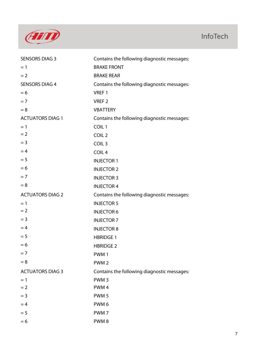

| <b>SENSORS DIAG 3</b>   | Contains the following diagnostic messages: |
|-------------------------|---------------------------------------------|
| $=1$                    | <b>BRAKE FRONT</b>                          |
| $= 2$                   | <b>BRAKE REAR</b>                           |
| <b>SENSORS DIAG 4</b>   | Contains the following diagnostic messages: |
| $= 6$                   | VREF <sub>1</sub>                           |
| $= 7$                   | VREF <sub>2</sub>                           |
| $= 8$                   | <b>VBATTERY</b>                             |
| <b>ACTUATORS DIAG 1</b> | Contains the following diagnostic messages: |
| $= 1$                   | COIL <sub>1</sub>                           |
| $= 2$                   | COIL <sub>2</sub>                           |
| $=$ 3                   | COIL <sub>3</sub>                           |
| $=4$                    | COIL <sub>4</sub>                           |
| $= 5$                   | <b>INJECTOR 1</b>                           |
| $= 6$                   | <b>INJECTOR 2</b>                           |
| $= 7$                   | <b>INJECTOR 3</b>                           |
| $= 8$                   | <b>INJECTOR 4</b>                           |
| <b>ACTUATORS DIAG 2</b> | Contains the following diagnostic messages: |
| $=1$                    | <b>INJECTOR 5</b>                           |
| $= 2$                   | <b>INJECTOR 6</b>                           |
| $=$ 3                   | <b>INJECTOR 7</b>                           |
| $=4$                    | <b>INJECTOR 8</b>                           |
| $= 5$                   | <b>HBRIDGE 1</b>                            |
| $= 6$                   | <b>HBRIDGE 2</b>                            |
| $=7$                    | PWM <sub>1</sub>                            |
| $= 8$                   | PWM <sub>2</sub>                            |
| <b>ACTUATORS DIAG 3</b> | Contains the following diagnostic messages: |
| $=1$                    | PWM <sub>3</sub>                            |
| $= 2$                   | PWM <sub>4</sub>                            |
| $=$ 3                   | PWM <sub>5</sub>                            |
| $=4$                    | PWM <sub>6</sub>                            |
| $= 5$                   | PWM <sub>7</sub>                            |
| $= 6$                   | PWM8                                        |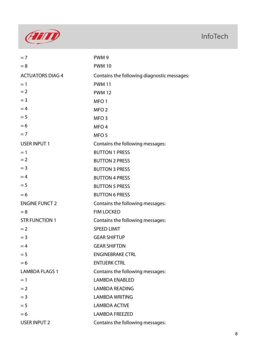

| $= 7$                   | PWM <sub>9</sub>                            |
|-------------------------|---------------------------------------------|
| $= 8$                   | <b>PWM 10</b>                               |
| <b>ACTUATORS DIAG 4</b> | Contains the following diagnostic messages: |
| $=1$                    | <b>PWM 11</b>                               |
| $= 2$                   | <b>PWM 12</b>                               |
| $=$ 3                   | MFO <sub>1</sub>                            |
| $=4$                    | MFO <sub>2</sub>                            |
| $= 5$                   | MFO <sub>3</sub>                            |
| $= 6$                   | MFO <sub>4</sub>                            |
| $= 7$                   | MFO <sub>5</sub>                            |
| <b>USER INPUT 1</b>     | Contains the following messages:            |
| $= 1$                   | <b>BUTTON 1 PRESS</b>                       |
| $= 2$                   | <b>BUTTON 2 PRESS</b>                       |
| $=$ 3                   | <b>BUTTON 3 PRESS</b>                       |
| $=4$                    | <b>BUTTON 4 PRESS</b>                       |
| $= 5$                   | <b>BUTTON 5 PRESS</b>                       |
| $= 6$                   | <b>BUTTON 6 PRESS</b>                       |
| <b>ENGINE FUNCT 2</b>   | Contains the following messages:            |
| $= 8$                   | <b>FIM LOCKED</b>                           |
| <b>STR FUNCTION 1</b>   | Contains the following messages:            |
| $= 2$                   | <b>SPEED LIMIT</b>                          |
| $=$ 3                   | <b>GEAR SHIFTUP</b>                         |
| $=4$                    | <b>GEAR SHIFTDN</b>                         |
| $= 5$                   | <b>ENGINEBRAKE CTRL</b>                     |
| $= 6$                   | <b>ENTIJERK CTRL</b>                        |
| <b>LAMBDA FLAGS 1</b>   | Contains the following messages:            |
| $=1$                    | <b>LAMBDA ENABLED</b>                       |
| $= 2$                   | <b>LAMBDA READING</b>                       |
| $=$ 3                   | <b>LAMBDA WRITING</b>                       |
| $= 5$                   | <b>LAMBDA ACTIVE</b>                        |
| $= 6$                   | <b>LAMBDA FREEZED</b>                       |
| <b>USER INPUT 2</b>     | Contains the following messages:            |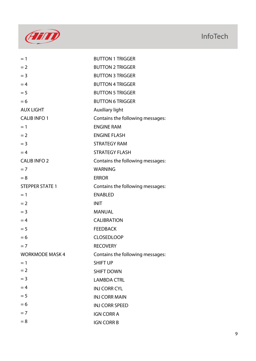

| $=1$                   | <b>BUTTON 1 TRIGGER</b>          |
|------------------------|----------------------------------|
| $= 2$                  | <b>BUTTON 2 TRIGGER</b>          |
| $=$ 3                  | <b>BUTTON 3 TRIGGER</b>          |
| $=4$                   | <b>BUTTON 4 TRIGGER</b>          |
| $= 5$                  | <b>BUTTON 5 TRIGGER</b>          |
| $= 6$                  | <b>BUTTON 6 TRIGGER</b>          |
| <b>AUX LIGHT</b>       | <b>Auxiliary light</b>           |
| <b>CALIB INFO 1</b>    | Contains the following messages: |
| $=1$                   | <b>ENGINE RAM</b>                |
| $= 2$                  | <b>ENGINE FLASH</b>              |
| $=$ 3                  | <b>STRATEGY RAM</b>              |
| $=4$                   | <b>STRATEGY FLASH</b>            |
| <b>CALIB INFO 2</b>    | Contains the following messages: |
| $= 7$                  | <b>WARNING</b>                   |
| $= 8$                  | <b>ERROR</b>                     |
| <b>STEPPER STATE 1</b> | Contains the following messages: |
| $=1$                   | <b>ENABLED</b>                   |
| $= 2$                  | <b>INIT</b>                      |
| $=$ 3                  | <b>MANUAL</b>                    |
| $=4$                   | <b>CALIBRATION</b>               |
| $= 5$                  | <b>FEEDBACK</b>                  |
| $= 6$                  | <b>CLOSEDLOOP</b>                |
| $=7$                   | <b>RECOVERY</b>                  |
| <b>WORKMODE MASK 4</b> | Contains the following messages: |
| $=1$                   | <b>SHIFT UP</b>                  |
| $= 2$                  | <b>SHIFT DOWN</b>                |
| $=$ 3                  | <b>LAMBDA CTRL</b>               |
| $=4$                   | <b>INJ CORR CYL</b>              |
| $= 5$                  | <b>INJ CORR MAIN</b>             |
| $= 6$                  | <b>INJ CORR SPEED</b>            |
| $=7$                   | <b>IGN CORR A</b>                |
| $= 8$                  | <b>IGN CORR B</b>                |